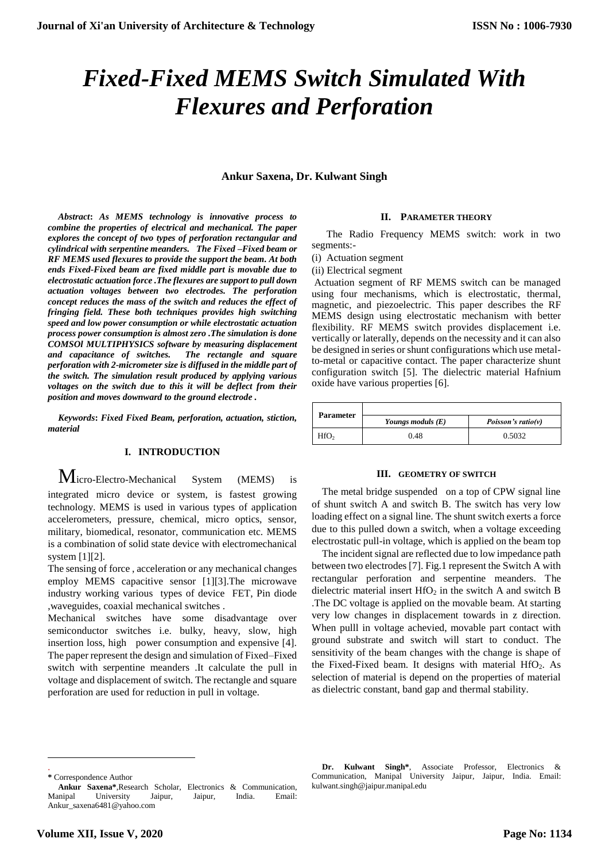# *Fixed-Fixed MEMS Switch Simulated With Flexures and Perforation*

# **Ankur Saxena, Dr. Kulwant Singh**

*Abstract***:** *As MEMS technology is innovative process to combine the properties of electrical and mechanical. The paper explores the concept of two types of perforation rectangular and cylindrical with serpentine meanders. The Fixed –Fixed beam or RF MEMS used flexures to provide the support the beam. At both ends Fixed-Fixed beam are fixed middle part is movable due to electrostatic actuation force .The flexures are support to pull down actuation voltages between two electrodes. The perforation concept reduces the mass of the switch and reduces the effect of fringing field. These both techniques provides high switching speed and low power consumption or while electrostatic actuation process power consumption is almost zero .The simulation is done COMSOl MULTIPHYSICS software by measuring displacement and capacitance of switches. The rectangle and square perforation with 2-micrometer size is diffused in the middle part of the switch. The simulation result produced by applying various voltages on the switch due to this it will be deflect from their position and moves downward to the ground electrode .*

*Keywords***:** *Fixed Fixed Beam, perforation, actuation, stiction, material*

### **I. INTRODUCTION**

 $M$ icro-Electro-Mechanical System (MEMS) integrated micro device or system, is fastest growing technology. MEMS is used in various types of application accelerometers, pressure, chemical, micro optics, sensor, military, biomedical, resonator, communication etc. MEMS is a combination of solid state device with electromechanical system [1][2].

The sensing of force , acceleration or any mechanical changes employ MEMS capacitive sensor [1][3].The microwave industry working various types of device FET, Pin diode ,waveguides, coaxial mechanical switches .

Mechanical switches have some disadvantage over semiconductor switches i.e. bulky, heavy, slow, high insertion loss, high power consumption and expensive [4]. The paper represent the design and simulation of Fixed–Fixed switch with serpentine meanders .It calculate the pull in voltage and displacement of switch. The rectangle and square perforation are used for reduction in pull in voltage.

#### **II. PARAMETER THEORY**

The Radio Frequency MEMS switch: work in two segments:-

(i) Actuation segment

(ii) Electrical segment

Actuation segment of RF MEMS switch can be managed using four mechanisms, which is electrostatic, thermal, magnetic, and piezoelectric. This paper describes the RF MEMS design using electrostatic mechanism with better flexibility. RF MEMS switch provides displacement i.e. vertically or laterally, depends on the necessity and it can also be designed in series or shunt configurations which use metalto-metal or capacitive contact. The paper characterize shunt configuration switch [5]. The dielectric material Hafnium oxide have various properties [6].

| <b>Parameter</b> |                     |                        |
|------------------|---------------------|------------------------|
|                  | Youngs moduls $(E)$ | Poisson's ratio( $v$ ) |
| HfO <sub>2</sub> | 0.48                | 0.5032                 |

#### **III. GEOMETRY OF SWITCH**

The metal bridge suspended on a top of CPW signal line of shunt switch A and switch B. The switch has very low loading effect on a signal line. The shunt switch exerts a force due to this pulled down a switch, when a voltage exceeding electrostatic pull-in voltage, which is applied on the beam top

The incident signal are reflected due to low impedance path between two electrodes [7]. Fig.1 represent the Switch A with rectangular perforation and serpentine meanders. The dielectric material insert  $HfO<sub>2</sub>$  in the switch A and switch B .The DC voltage is applied on the movable beam. At starting very low changes in displacement towards in z direction. When pulll in voltage achevied, movable part contact with ground substrate and switch will start to conduct. The sensitivity of the beam changes with the change is shape of the Fixed-Fixed beam. It designs with material  $HfO<sub>2</sub>$ . As selection of material is depend on the properties of material as dielectric constant, band gap and thermal stability.

l .

**Dr. Kulwant Singh\***, Associate Professor, Electronics & Communication, Manipal University Jaipur, Jaipur, India. Email: kulwant.singh@jaipur.manipal.edu

**<sup>\*</sup>** Correspondence Author

**Ankur Saxena\***,Research Scholar, Electronics & Communication, Manipal University Jaipur, Jaipur, India. Email: Ankur\_saxena6481@yahoo.com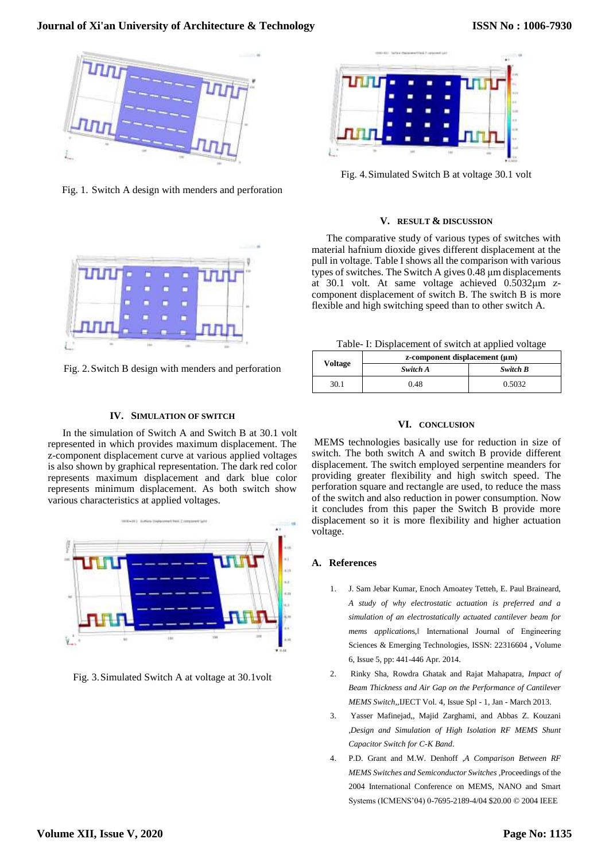# **Journal of Xi'an University of Architecture & Technology**



Fig. 1. Switch A design with menders and perforation



Fig. 2.Switch B design with menders and perforation

## **IV. SIMULATION OF SWITCH**

In the simulation of Switch A and Switch B at 30.1 volt represented in which provides maximum displacement. The z-component displacement curve at various applied voltages is also shown by graphical representation. The dark red color represents maximum displacement and dark blue color represents minimum displacement. As both switch show various characteristics at applied voltages.



Fig. 3.Simulated Switch A at voltage at 30.1volt



Fig. 4.Simulated Switch B at voltage 30.1 volt

#### **V. RESULT & DISCUSSION**

The comparative study of various types of switches with material hafnium dioxide gives different displacement at the pull in voltage. Table I shows all the comparison with various types of switches. The Switch A gives 0.48 μm displacements at 30.1 volt. At same voltage achieved 0.5032μm zcomponent displacement of switch B. The switch B is more flexible and high switching speed than to other switch A.

Table- I: Displacement of switch at applied voltage

| Voltage | $z$ -component displacement $(\mu m)$ |          |
|---------|---------------------------------------|----------|
|         | Switch A                              | Switch B |
| 30.1    | 0.48                                  | 0.5032   |

# **VI. CONCLUSION**

MEMS technologies basically use for reduction in size of switch. The both switch A and switch B provide different displacement. The switch employed serpentine meanders for providing greater flexibility and high switch speed. The perforation square and rectangle are used, to reduce the mass of the switch and also reduction in power consumption. Now it concludes from this paper the Switch B provide more displacement so it is more flexibility and higher actuation voltage.

#### **A. References**

- 1. J. Sam Jebar Kumar, Enoch Amoatey Tetteh, E. Paul Braineard, *A study of why electrostatic actuation is preferred and a simulation of an electrostatically actuated cantilever beam for mems application*s,‖ International Journal of Engineering Sciences & Emerging Technologies, ISSN: 22316604 **,** Volume 6, Issue 5, pp: 441-446 Apr. 2014.
- 2. Rinky Sha, Rowdra Ghatak and Rajat Mahapatra, *Impact of Beam Thickness and Air Gap on the Performance of Cantilever MEMS Switch*,,IJECT Vol. 4, Issue Spl - 1, Jan - March 2013.
- 3. Yasser Mafinejad,, Majid Zarghami, and Abbas Z. Kouzani ,*Design and Simulation of High Isolation RF MEMS Shunt Capacitor Switch for C-K Band*.
- 4. P.D. Grant and M.W. Denhoff *,A Comparison Between RF MEMS Switches and Semiconductor Switches ,*Proceedings of the 2004 International Conference on MEMS, NANO and Smart Systems (ICMENS'04) 0-7695-2189-4/04 \$20.00 © 2004 IEEE